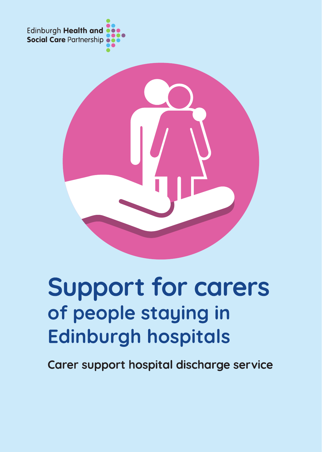



# **Support for carers** of people staying in **Edinburgh hospitals**

Carer support hospital discharge service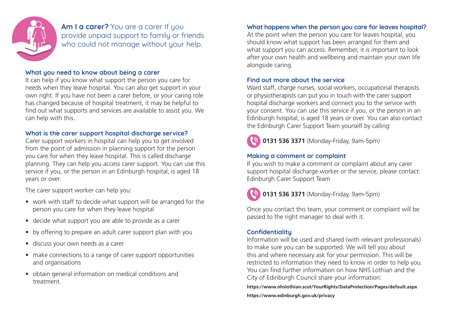

Am I a carer? You are a carer if you provide unpaid support to family or friends who could not manage without your help.

# What you need to know about being a carer

It can help if you know what support the person you care for needs when they leave hospital. You can also get support in your own right. If you have not been a carer before, or your caring role has changed because of hospital treatment, it may be helpful to find out what supports and services are available to assist you. We can help with this.

#### What is the carer support hospital discharge service?

Carer support workers in hospital can help you to get involved from the point of admission in planning support for the person you care for when they leave hospital. This is called discharge planning. They can help you access carer support. You can use this service if you, or the person in an Edinburgh hospital, is aged 18 years or over.

The carer support worker can help you:

- work with staff to decide what support will be arranged for the person you care for when they leave hospital
- decide what support you are able to provide as a carer
- by offering to prepare an adult carer support plan with you
- discuss your own needs as a carer
- make connections to a range of carer support opportunities and organisations
- obtain general information on medical conditions and treatment.

# What happens when the person you care for leaves hospital?

At the point when the person you care for leaves hospital, you should know what support has been arranged for them and what support you can access. Remember, it is important to look after your own health and wellbeing and maintain your own life alongside caring.

#### Find out more about the service

Ward staff, charge nurses, social workers, occupational therapists or physiotherapists can put you in touch with the carer support hospital discharge workers and connect you to the service with your consent. You can use this service if you, or the person in an Edinburgh hospital, is aged 18 years or over. You can also contact the Edinburgh Carer Support Team yourself by calling:



**0131 536 3371** (Monday-Friday, 9am-5pm)

#### Making a comment or complaint

If you wish to make a comment or complaint about any carer support hospital discharge worker or the service, please contact: Edinburgh Carer Support Team



**0131 536 3371** (Monday-Friday, 9am-5pm)

Once you contact this team, your comment or complaint will be passed to the right manager to deal with it.

# **Confidentiality**

Information will be used and shared (with relevant professionals) to make sure you can be supported. We will tell you about this and where necessary ask for your permission. This will be restricted to information they need to know in order to help you. You can find further information on how NHS Lothian and the City of Edinburgh Council share your information:

**https://www.nhslothian.scot/YourRights/DataProtection/Pages/default.aspx https://www.edinburgh.gov.uk/privacy**